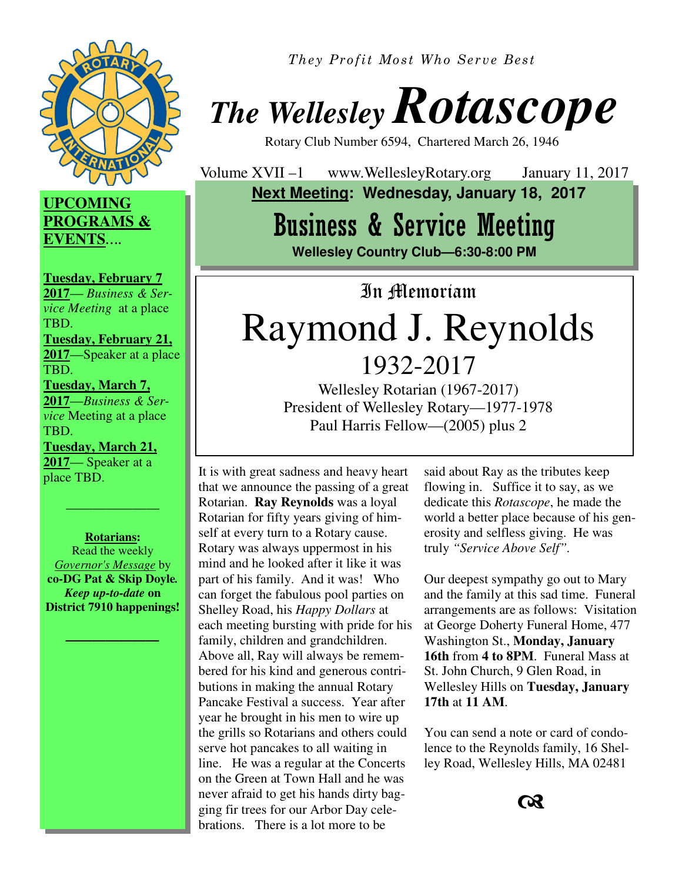

*They Profit Most Who Serve Best* 

# *The Wellesley Rotascope*

Rotary Club Number 6594, Chartered March 26, 1946

Volume XVII –1 www.WellesleyRotary.org January 11, 2017  **Next Meeting: Wednesday, January 18, 2017** 

### Business & Service Meeting

**Wellesley Country Club—6:30-8:00 PM** 

In Memoriam

## Raymond J. Reynolds 1932-2017

Wellesley Rotarian (1967-2017) President of Wellesley Rotary—1977-1978 Paul Harris Fellow—(2005) plus 2

It is with great sadness and heavy heart that we announce the passing of a great Rotarian. **Ray Reynolds** was a loyal Rotarian for fifty years giving of himself at every turn to a Rotary cause. Rotary was always uppermost in his mind and he looked after it like it was part of his family. And it was! Who can forget the fabulous pool parties on Shelley Road, his *Happy Dollars* at each meeting bursting with pride for his family, children and grandchildren. Above all, Ray will always be remembered for his kind and generous contributions in making the annual Rotary Pancake Festival a success. Year after year he brought in his men to wire up the grills so Rotarians and others could serve hot pancakes to all waiting in line. He was a regular at the Concerts on the Green at Town Hall and he was never afraid to get his hands dirty bagging fir trees for our Arbor Day celebrations. There is a lot more to be

said about Ray as the tributes keep flowing in. Suffice it to say, as we dedicate this *Rotascope*, he made the world a better place because of his generosity and selfless giving. He was truly *"Service Above Self".* 

Our deepest sympathy go out to Mary and the family at this sad time. Funeral arrangements are as follows: Visitation at George Doherty Funeral Home, 477 Washington St., **Monday, January 16th** from **4 to 8PM**. Funeral Mass at St. John Church, 9 Glen Road, in Wellesley Hills on **Tuesday, January 17th** at **11 AM**.

You can send a note or card of condolence to the Reynolds family, 16 Shelley Road, Wellesley Hills, MA 02481



#### **UPCOMING PROGRAMS & EVENTS***….*

**Tuesday, February 7 2017**— *Business & Service Meeting* at a place TBD.

**Tuesday, February 21, 2017**—Speaker at a place TBD.

**Tuesday, March 7, 2017**—*Business & Service* Meeting at a place TBD.

**Tuesday, March 21, 2017**— Speaker at a place TBD.

**Rotarians:**  Read the weekly *Governor's Message* by **co-DG Pat & Skip Doyle***. Keep up-to-date* **on District 7910 happenings!**

*———————* 

———————